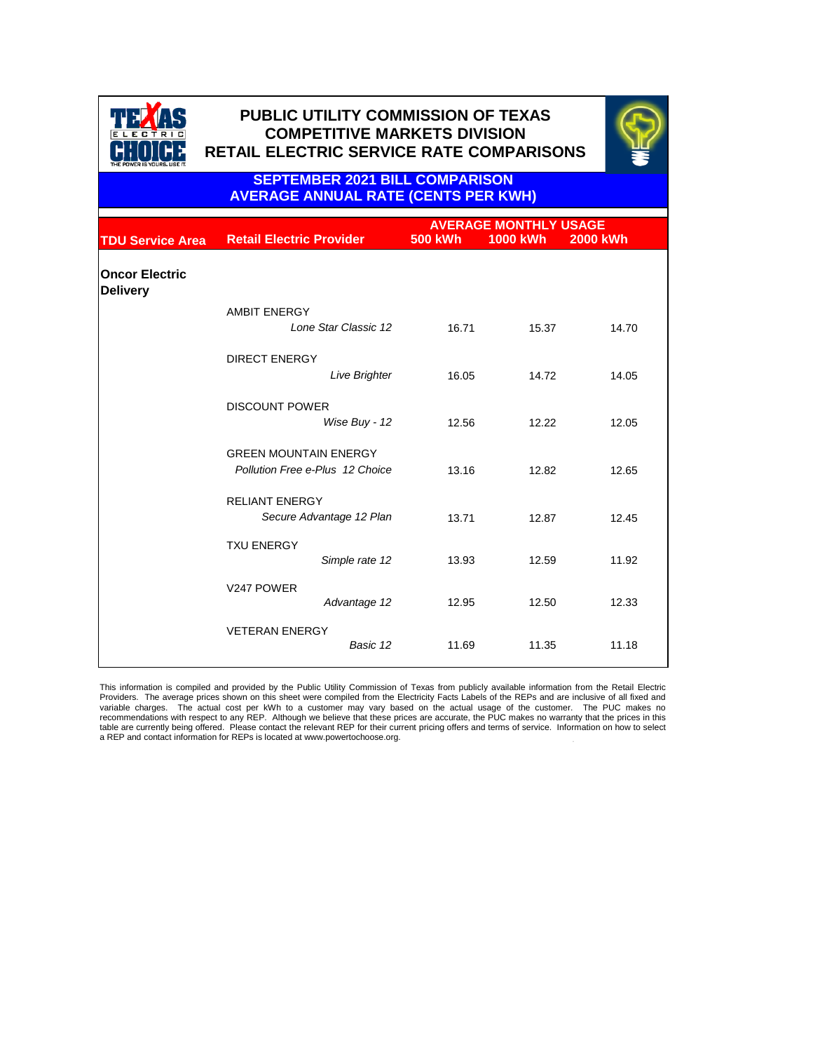|                                          |                                                                        | <b>AVERAGE MONTHLY USAGE</b> |                 |                 |  |
|------------------------------------------|------------------------------------------------------------------------|------------------------------|-----------------|-----------------|--|
| <b>TDU Service Area</b>                  | <b>Retail Electric Provider</b>                                        | <b>500 kWh</b>               | <b>1000 kWh</b> | <b>2000 kWh</b> |  |
| <b>Oncor Electric</b><br><b>Delivery</b> |                                                                        |                              |                 |                 |  |
|                                          | <b>AMBIT ENERGY</b><br>Lone Star Classic 12                            | 16.71                        | 15.37           | 14.70           |  |
|                                          | <b>DIRECT ENERGY</b><br><b>Live Brighter</b>                           | 16.05                        | 14.72           | 14.05           |  |
|                                          | <b>DISCOUNT POWER</b><br>Wise Buy - 12                                 | 12.56                        | 12.22           | 12.05           |  |
|                                          | <b>GREEN MOUNTAIN ENERGY</b><br><b>Pollution Free e-Plus 12 Choice</b> | 13.16                        | 12.82           | 12.65           |  |
|                                          | <b>RELIANT ENERGY</b><br>Secure Advantage 12 Plan                      | 13.71                        | 12.87           | 12.45           |  |
|                                          | <b>TXU ENERGY</b><br>Simple rate 12                                    | 13.93                        | 12.59           | 11.92           |  |
|                                          | V247 POWER<br>Advantage 12                                             | 12.95                        | 12.50           | 12.33           |  |
|                                          | <b>VETERAN ENERGY</b><br>Basic 12                                      | 11.69                        | 11.35           | 11.18           |  |

This information is compiled and provided by the Public Utility Commission of Texas from publicly available information from the Retail Electric Providers. The average prices shown on this sheet were compiled from the Electricity Facts Labels of the REPs and are inclusive of all fixed and

#### **SEPTEMBER 2021 BILL COMPARISON AVERAGE ANNUAL RATE (CENTS PER KWH)**



# **PUBLIC UTILITY COMMISSION OF TEXAS COMPETITIVE MARKETS DIVISION RETAIL ELECTRIC SERVICE RATE COMPARISONS RETAIL ELECTRIC SERVICE RATE COMPARISONS**



. variable charges. The actual cost per kWh to a customer may vary based on the actual usage of the customer. The PUC makes no recommendations with respect to any REP. Although we believe that these prices are accurate, the PUC makes no warranty that the prices in this table are currently being offered. Please contact the relevant REP for their current pricing offers and terms of service. Information on how to select a REP and contact information for REPs is located at www.powertochoose.org.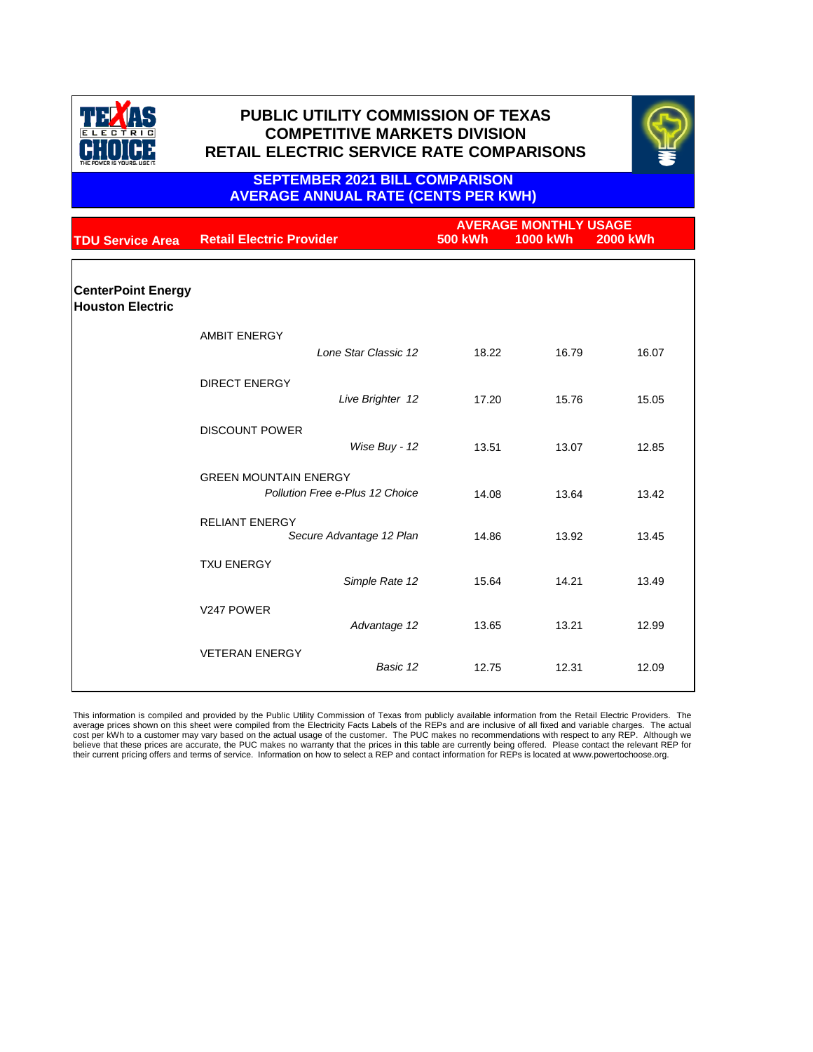|                                                      |                                                                        | <b>AVERAGE MONTHLY USAGE</b> |                 |                 |
|------------------------------------------------------|------------------------------------------------------------------------|------------------------------|-----------------|-----------------|
| <b>TDU Service Area</b>                              | <b>Retail Electric Provider</b>                                        | <b>500 kWh</b>               | <b>1000 kWh</b> | <b>2000 kWh</b> |
|                                                      |                                                                        |                              |                 |                 |
| <b>CenterPoint Energy</b><br><b>Houston Electric</b> |                                                                        |                              |                 |                 |
|                                                      | <b>AMBIT ENERGY</b>                                                    |                              |                 |                 |
|                                                      | Lone Star Classic 12                                                   | 18.22                        | 16.79           | 16.07           |
|                                                      | <b>DIRECT ENERGY</b>                                                   |                              |                 |                 |
|                                                      | Live Brighter 12                                                       | 17.20                        | 15.76           | 15.05           |
|                                                      | <b>DISCOUNT POWER</b>                                                  |                              |                 |                 |
|                                                      | Wise Buy - 12                                                          | 13.51                        | 13.07           | 12.85           |
|                                                      | <b>GREEN MOUNTAIN ENERGY</b><br><b>Pollution Free e-Plus 12 Choice</b> | 14.08                        | 13.64           | 13.42           |
|                                                      |                                                                        |                              |                 |                 |
|                                                      | <b>RELIANT ENERGY</b><br>Secure Advantage 12 Plan                      | 14.86                        | 13.92           | 13.45           |
|                                                      | <b>TXU ENERGY</b>                                                      |                              |                 |                 |
|                                                      | Simple Rate 12                                                         | 15.64                        | 14.21           | 13.49           |
|                                                      | V247 POWER                                                             |                              |                 |                 |
|                                                      | Advantage 12                                                           | 13.65                        | 13.21           | 12.99           |
|                                                      | <b>VETERAN ENERGY</b>                                                  |                              |                 |                 |
|                                                      | Basic 12                                                               | 12.75                        | 12.31           | 12.09           |

#### **SEPTEMBER 2021 BILL COMPARISON AVERAGE ANNUAL RATE (CENTS PER KWH)**

This information is compiled and provided by the Public Utility Commission of Texas from publicly available information from the Retail Electric Providers. The average prices shown on this sheet were compiled from the Electricity Facts Labels of the REPs and are inclusive of all fixed and variable charges. The actual cost per kWh to a customer may vary based on the actual usage of the customer. The PUC makes no recommendations with respect to any REP. Although we believe that these prices are accurate, the PUC makes no warranty that the prices in this table are currently being offered. Please contact the relevant REP for their current pricing offers and terms of service. Information on how to select a REP and contact information for REPs is located at www.powertochoose.org.



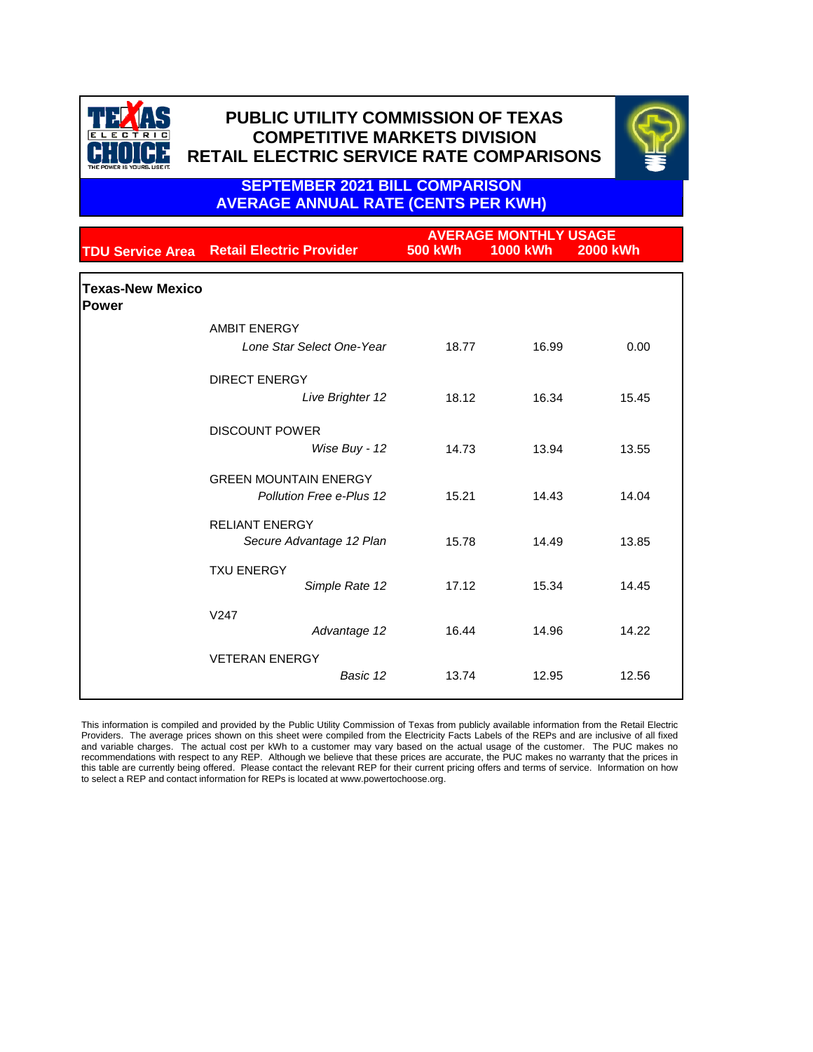|                                         |                                                                 |                | <b>AVERAGE MONTHLY USAGE</b> |                 |
|-----------------------------------------|-----------------------------------------------------------------|----------------|------------------------------|-----------------|
| <b>TDU Service Area</b>                 | <b>Retail Electric Provider</b>                                 | <b>500 kWh</b> | <b>1000 kWh</b>              | <b>2000 kWh</b> |
| <b>Texas-New Mexico</b><br><b>Power</b> |                                                                 |                |                              |                 |
|                                         | <b>AMBIT ENERGY</b>                                             |                |                              |                 |
|                                         | Lone Star Select One-Year                                       | 18.77          | 16.99                        | 0.00            |
|                                         | <b>DIRECT ENERGY</b>                                            |                |                              |                 |
|                                         | Live Brighter 12                                                | 18.12          | 16.34                        | 15.45           |
|                                         | <b>DISCOUNT POWER</b>                                           |                |                              |                 |
|                                         | Wise Buy - 12                                                   | 14.73          | 13.94                        | 13.55           |
|                                         | <b>GREEN MOUNTAIN ENERGY</b><br><b>Pollution Free e-Plus 12</b> | 15.21          | 14.43                        | 14.04           |
|                                         |                                                                 |                |                              |                 |
|                                         | <b>RELIANT ENERGY</b>                                           |                |                              |                 |
|                                         | Secure Advantage 12 Plan                                        | 15.78          | 14.49                        | 13.85           |
|                                         | <b>TXU ENERGY</b><br>Simple Rate 12                             | 17.12          | 15.34                        | 14.45           |
|                                         | V247                                                            |                |                              |                 |
|                                         | Advantage 12                                                    | 16.44          | 14.96                        | 14.22           |
|                                         | <b>VETERAN ENERGY</b>                                           |                |                              |                 |
|                                         | Basic 12                                                        | 13.74          | 12.95                        | 12.56           |

### **SEPTEMBER 2021 BILL COMPARISON AVERAGE ANNUAL RATE (CENTS PER KWH)**

This information is compiled and provided by the Public Utility Commission of Texas from publicly available information from the Retail Electric Providers. The average prices shown on this sheet were compiled from the Electricity Facts Labels of the REPs and are inclusive of all fixed and variable charges. The actual cost per kWh to a customer may vary based on the actual usage of the customer. The PUC makes no recommendations with respect to any REP. Although we believe that these prices are accurate, the PUC makes no warranty that the prices in this table are currently being offered. Please contact the relevant REP for their current pricing offers and terms of service. Information on how to select a REP and contact information for REPs is located at www.powertochoose.org.



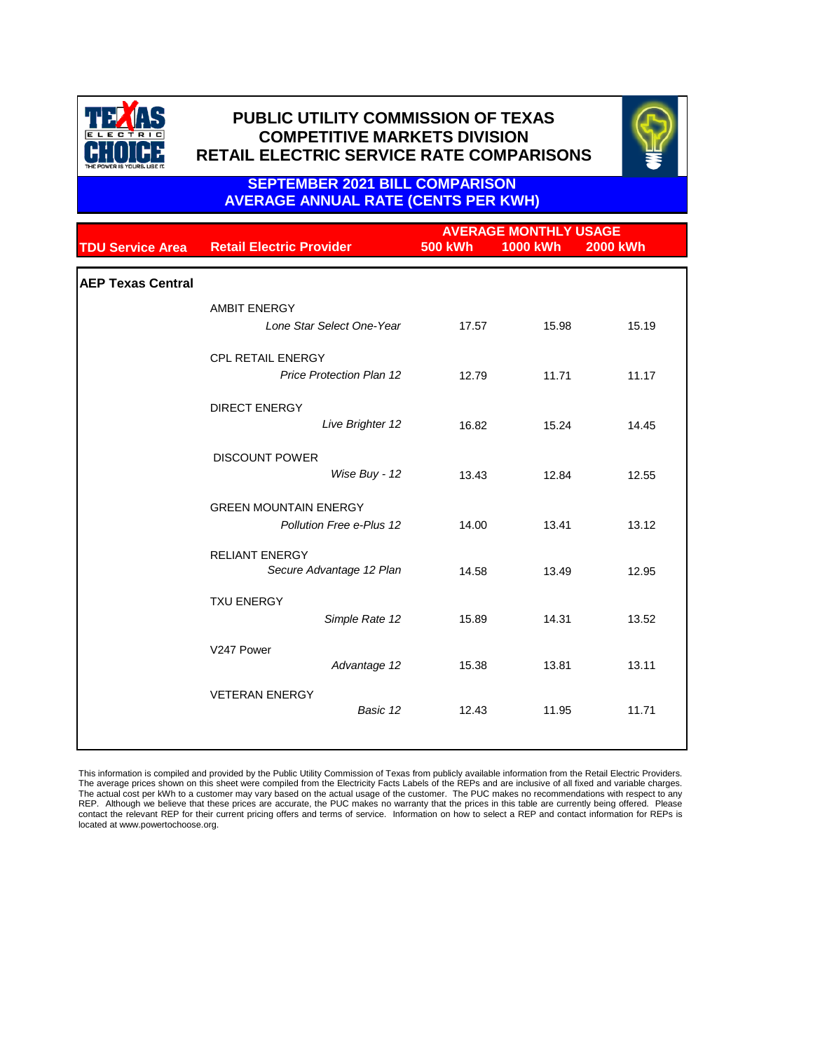|                          |                                                                        | <b>AVERAGE MONTHLY USAGE</b>     |                                  |                                  |  |
|--------------------------|------------------------------------------------------------------------|----------------------------------|----------------------------------|----------------------------------|--|
| <b>TDU Service Area</b>  | <b>Retail Electric Provider</b>                                        | <b>500 kWh</b>                   | <b>1000 kWh</b>                  | <b>2000 kWh</b>                  |  |
| <b>AEP Texas Central</b> |                                                                        |                                  |                                  |                                  |  |
|                          | <b>AMBIT ENERGY</b>                                                    |                                  |                                  |                                  |  |
|                          | Lone Star Select One-Year                                              | 17.57                            | 15.98                            | 15.19                            |  |
|                          | <b>CPL RETAIL ENERGY</b>                                               |                                  |                                  |                                  |  |
|                          | <b>Price Protection Plan 12</b>                                        | 12.79                            | 11.71                            | 11.17                            |  |
|                          | <b>DIRECT ENERGY</b>                                                   |                                  |                                  |                                  |  |
|                          | Live Brighter 12                                                       | 16.82                            | 15.24                            | 14.45                            |  |
|                          | <b>DISCOUNT POWER</b>                                                  |                                  |                                  |                                  |  |
|                          | Wise Buy - 12                                                          | 13.43                            | 12.84                            | 12.55                            |  |
|                          | <b>GREEN MOUNTAIN ENERGY</b>                                           |                                  |                                  |                                  |  |
|                          | <b>Pollution Free e-Plus 12</b>                                        | 14.00                            | 13.41                            | 13.12                            |  |
|                          | <b>RELIANT ENERGY</b>                                                  |                                  |                                  |                                  |  |
|                          |                                                                        |                                  |                                  |                                  |  |
|                          | <b>TXU ENERGY</b>                                                      |                                  |                                  |                                  |  |
|                          |                                                                        |                                  |                                  |                                  |  |
|                          | V247 Power                                                             |                                  |                                  |                                  |  |
|                          |                                                                        |                                  |                                  |                                  |  |
|                          | <b>VETERAN ENERGY</b>                                                  |                                  |                                  |                                  |  |
|                          | Secure Advantage 12 Plan<br>Simple Rate 12<br>Advantage 12<br>Basic 12 | 14.58<br>15.89<br>15.38<br>12.43 | 13.49<br>14.31<br>13.81<br>11.95 | 12.95<br>13.52<br>13.11<br>11.71 |  |

### **SEPTEMBER 2021 BILL COMPARISON AVERAGE ANNUAL RATE (CENTS PER KWH)**

This information is compiled and provided by the Public Utility Commission of Texas from publicly available information from the Retail Electric Providers. The average prices shown on this sheet were compiled from the Electricity Facts Labels of the REPs and are inclusive of all fixed and variable charges. The actual cost per kWh to a customer may vary based on the actual usage of the customer. The PUC makes no recommendations with respect to any REP. Although we believe that these prices are accurate, the PUC makes no warranty that the prices in this table are currently being offered. Please contact the relevant REP for their current pricing offers and terms of service. Information on how to select a REP and contact information for REPs is located at www.powertochoose.org.